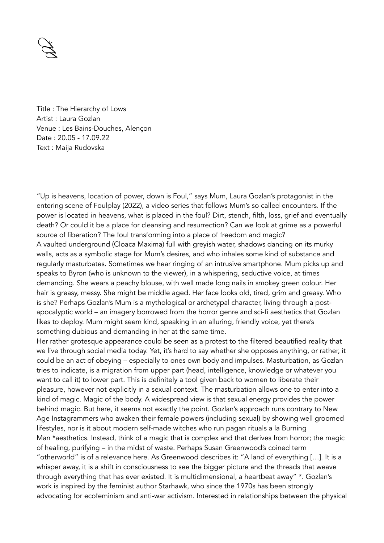

Title : The Hierarchy of Lows Artist : Laura Gozlan Venue : Les Bains-Douches, Alençon Date : 20.05 - 17.09.22 Text : Maija Rudovska

"Up is heavens, location of power, down is Foul," says Mum, Laura Gozlan's protagonist in the entering scene of Foulplay (2022), a video series that follows Mum's so called encounters. If the power is located in heavens, what is placed in the foul? Dirt, stench, filth, loss, grief and eventually death? Or could it be a place for cleansing and resurrection? Can we look at grime as a powerful source of liberation? The foul transforming into a place of freedom and magic? A vaulted underground (Cloaca Maxima) full with greyish water, shadows dancing on its murky walls, acts as a symbolic stage for Mum's desires, and who inhales some kind of substance and regularly masturbates. Sometimes we hear ringing of an intrusive smartphone. Mum picks up and speaks to Byron (who is unknown to the viewer), in a whispering, seductive voice, at times demanding. She wears a peachy blouse, with well made long nails in smokey green colour. Her hair is greasy, messy. She might be middle aged. Her face looks old, tired, grim and greasy. Who is she? Perhaps Gozlan's Mum is a mythological or archetypal character, living through a postapocalyptic world – an imagery borrowed from the horror genre and sci-fi aesthetics that Gozlan likes to deploy. Mum might seem kind, speaking in an alluring, friendly voice, yet there's something dubious and demanding in her at the same time.

Her rather grotesque appearance could be seen as a protest to the filtered beautified reality that we live through social media today. Yet, it's hard to say whether she opposes anything, or rather, it could be an act of obeying – especially to ones own body and impulses. Masturbation, as Gozlan tries to indicate, is a migration from upper part (head, intelligence, knowledge or whatever you want to call it) to lower part. This is definitely a tool given back to women to liberate their pleasure, however not explicitly in a sexual context. The masturbation allows one to enter into a kind of magic. Magic of the body. A widespread view is that sexual energy provides the power behind magic. But here, it seems not exactly the point. Gozlan's approach runs contrary to New Age Instagrammers who awaken their female powers (including sexual) by showing well groomed lifestyles, nor is it about modern self-made witches who run pagan rituals a la Burning Man \*aesthetics. Instead, think of a magic that is complex and that derives from horror; the magic of healing, purifying – in the midst of waste. Perhaps Susan Greenwood's coined term "otherworld" is of a relevance here. As Greenwood describes it: "A land of everything […]. It is a whisper away, it is a shift in consciousness to see the bigger picture and the threads that weave through everything that has ever existed. It is multidimensional, a heartbeat away" \*. Gozlan's work is inspired by the feminist author Starhawk, who since the 1970s has been strongly advocating for ecofeminism and anti-war activism. Interested in relationships between the physical